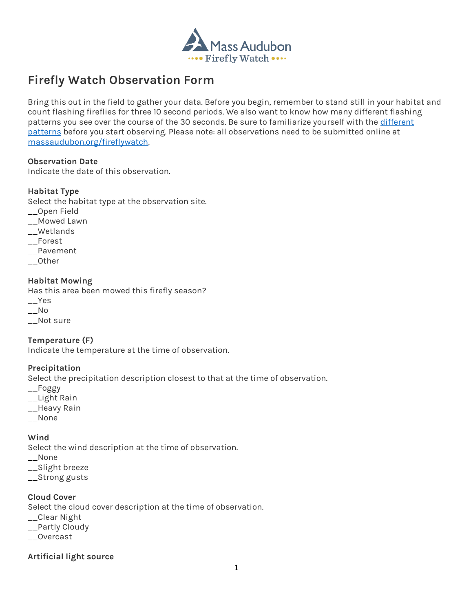

# **Firefly Watch Observation Form**

Bring this out in the field to gather your data. Before you begin, remember to stand still in your habitat and count flashing fireflies for three 10 second periods. We also want to know how many different flashing patterns you see over the course of the 30 seconds. Be sure to familiarize yourself with the different [patterns](https://www.massaudubon.org/fireflywatch) before you start observing. Please note: all observations need to be submitted online at [massaudubon.org/fireflywatch.](https://www.massaudubon.org/fireflywatch)

## **Observation Date**

Indicate the date of this observation.

## **Habitat Type**

Select the habitat type at the observation site.

- \_\_Open Field
- \_\_Mowed Lawn
- \_\_Wetlands
- \_\_Forest
- \_\_Pavement
- \_\_Other

## **Habitat Mowing**

Has this area been mowed this firefly season? \_\_Yes  $-$ No

\_\_Not sure

**Temperature (F)** Indicate the temperature at the time of observation.

## **Precipitation**

Select the precipitation description closest to that at the time of observation.

- \_\_Foggy
- \_\_Light Rain
- \_\_Heavy Rain
- \_\_None

## **Wind**

Select the wind description at the time of observation.

- \_\_None
- \_\_Slight breeze
- \_\_Strong gusts

## **Cloud Cover**

Select the cloud cover description at the time of observation.

- \_\_Clear Night
- \_\_Partly Cloudy
- \_\_Overcast

## **Artificial light source**